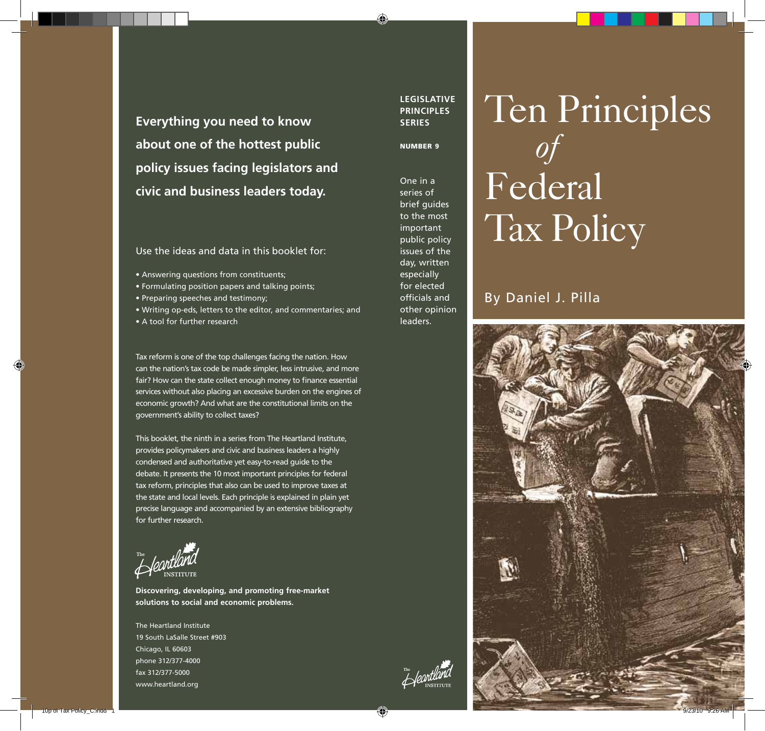#### **Legislative Principles Series**

#### Number 9

One in a series of brief guides to the most important public policy issues of the day, written especially for elected officials and other opinion leaders.

# Ten Principles *of* Federal Tax Policy

#### By Daniel J. Pilla



Heartla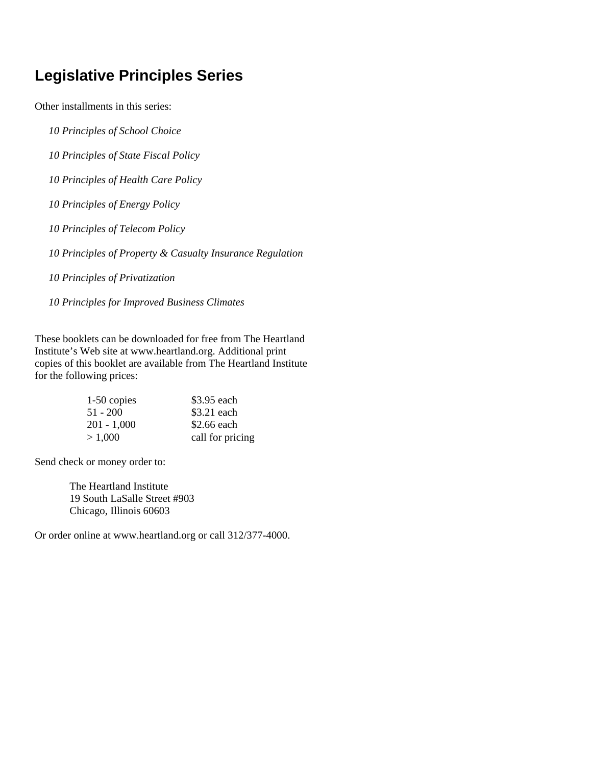#### **Legislative Principles Series**

Other installments in this series:

*10 Principles of School Choice 10 Principles of State Fiscal Policy 10 Principles of Health Care Policy 10 Principles of Energy Policy 10 Principles of Telecom Policy 10 Principles of Property & Casualty Insurance Regulation 10 Principles of Privatization 10 Principles for Improved Business Climates*

These booklets can be downloaded for free from The Heartland Institute's Web site at www.heartland.org. Additional print copies of this booklet are available from The Heartland Institute for the following prices:

| 1-50 copies   | \$3.95 each      |
|---------------|------------------|
| $51 - 200$    | \$3.21 each      |
| $201 - 1,000$ | \$2.66 each      |
| > 1,000       | call for pricing |

Send check or money order to:

The Heartland Institute 19 South LaSalle Street #903 Chicago, Illinois 60603

Or order online at www.heartland.org or call 312/377-4000.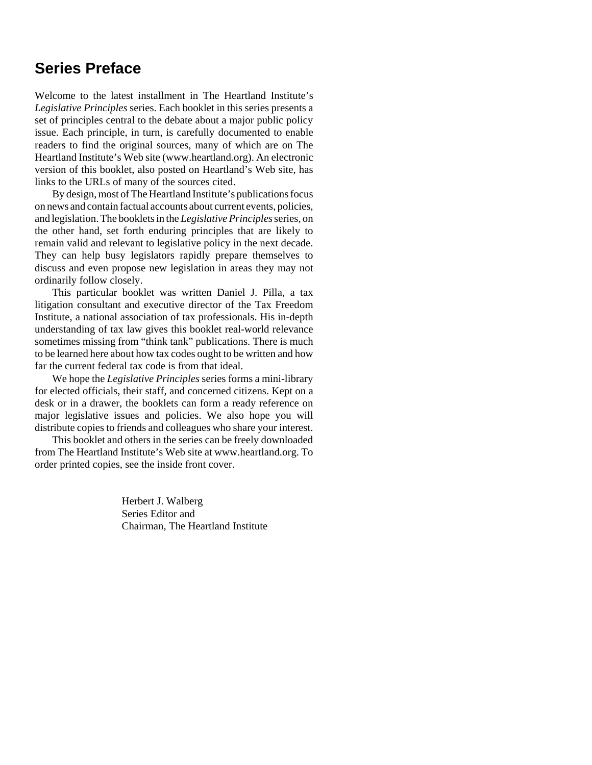#### **Series Preface**

Welcome to the latest installment in The Heartland Institute's *Legislative Principles* series. Each booklet in this series presents a set of principles central to the debate about a major public policy issue. Each principle, in turn, is carefully documented to enable readers to find the original sources, many of which are on The Heartland Institute's Web site (www.heartland.org). An electronic version of this booklet, also posted on Heartland's Web site, has links to the URLs of many of the sources cited.

By design, most of The Heartland Institute's publications focus on news and contain factual accounts about current events, policies, and legislation. The booklets in the *Legislative Principles* series, on the other hand, set forth enduring principles that are likely to remain valid and relevant to legislative policy in the next decade. They can help busy legislators rapidly prepare themselves to discuss and even propose new legislation in areas they may not ordinarily follow closely.

This particular booklet was written Daniel J. Pilla, a tax litigation consultant and executive director of the Tax Freedom Institute, a national association of tax professionals. His in-depth understanding of tax law gives this booklet real-world relevance sometimes missing from "think tank" publications. There is much to be learned here about how tax codes ought to be written and how far the current federal tax code is from that ideal.

We hope the *Legislative Principles* series forms a mini-library for elected officials, their staff, and concerned citizens. Kept on a desk or in a drawer, the booklets can form a ready reference on major legislative issues and policies. We also hope you will distribute copies to friends and colleagues who share your interest.

This booklet and others in the series can be freely downloaded from The Heartland Institute's Web site at www.heartland.org. To order printed copies, see the inside front cover.

> Herbert J. Walberg Series Editor and Chairman, The Heartland Institute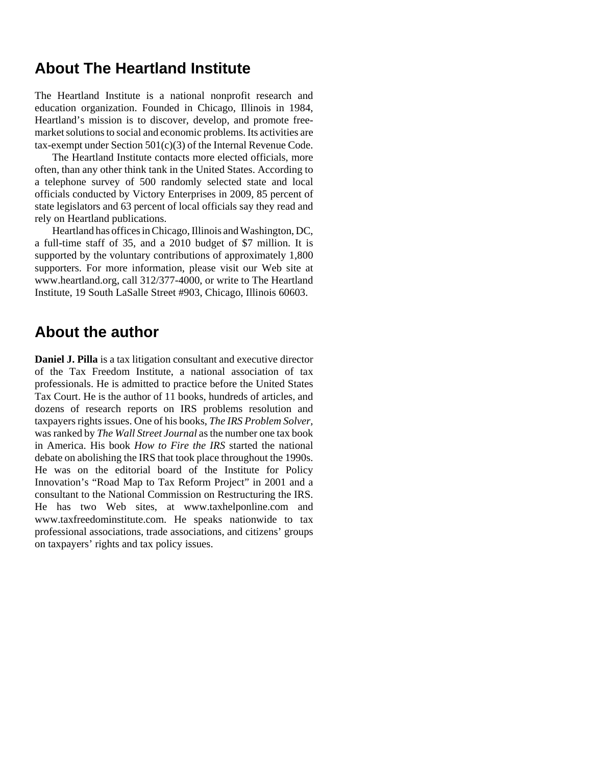#### **About The Heartland Institute**

The Heartland Institute is a national nonprofit research and education organization. Founded in Chicago, Illinois in 1984, Heartland's mission is to discover, develop, and promote freemarket solutions to social and economic problems. Its activities are tax-exempt under Section 501(c)(3) of the Internal Revenue Code.

The Heartland Institute contacts more elected officials, more often, than any other think tank in the United States. According to a telephone survey of 500 randomly selected state and local officials conducted by Victory Enterprises in 2009, 85 percent of state legislators and 63 percent of local officials say they read and rely on Heartland publications.

Heartland has offices in Chicago, Illinois and Washington, DC, a full-time staff of 35, and a 2010 budget of \$7 million. It is supported by the voluntary contributions of approximately 1,800 supporters. For more information, please visit our Web site at www.heartland.org, call 312/377-4000, or write to The Heartland Institute, 19 South LaSalle Street #903, Chicago, Illinois 60603.

#### **About the author**

**Daniel J. Pilla** is a tax litigation consultant and executive director of the Tax Freedom Institute, a national association of tax professionals. He is admitted to practice before the United States Tax Court. He is the author of 11 books, hundreds of articles, and dozens of research reports on IRS problems resolution and taxpayers rights issues. One of his books, *The IRS Problem Solver,* was ranked by *The Wall Street Journal* as the number one tax book in America. His book *How to Fire the IRS* started the national debate on abolishing the IRS that took place throughout the 1990s. He was on the editorial board of the Institute for Policy Innovation's "Road Map to Tax Reform Project" in 2001 and a consultant to the National Commission on Restructuring the IRS. He has two Web sites, at www.taxhelponline.com and www.taxfreedominstitute.com. He speaks nationwide to tax professional associations, trade associations, and citizens' groups on taxpayers' rights and tax policy issues.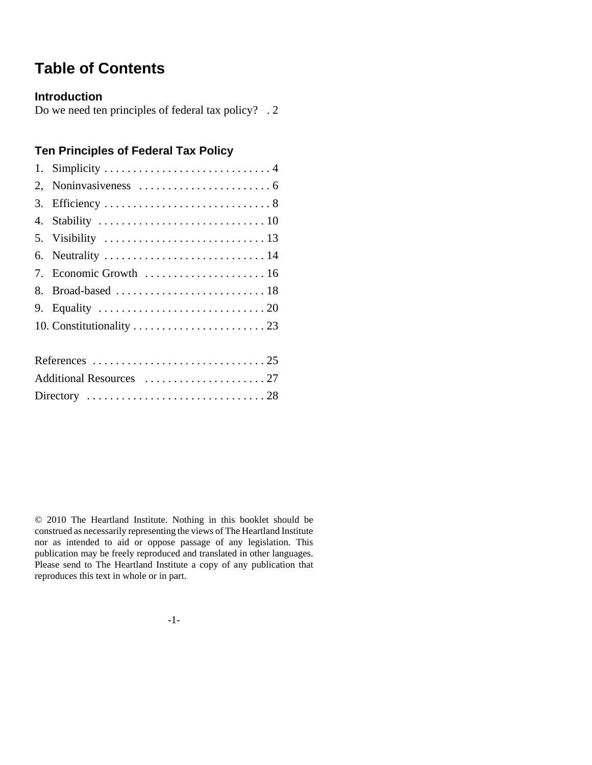## **Table of Contents**

#### **Introduction**

Do we need ten principles of federal tax policy? . 2

#### **Ten Principles of Federal Tax Policy**

| 5. Visibility $\ldots \ldots \ldots \ldots \ldots \ldots \ldots \ldots \ldots \ldots$ |
|---------------------------------------------------------------------------------------|
| 6. Neutrality $\dots \dots \dots \dots \dots \dots \dots \dots \dots \dots 14$        |
|                                                                                       |
|                                                                                       |
|                                                                                       |
|                                                                                       |
|                                                                                       |
|                                                                                       |
|                                                                                       |

© 2010 The Heartland Institute. Nothing in this booklet should be construed as necessarily representing the views of The Heartland Institute nor as intended to aid or oppose passage of any legislation. This publication may be freely reproduced and translated in other languages. Please send to The Heartland Institute a copy of any publication that reproduces this text in whole or in part.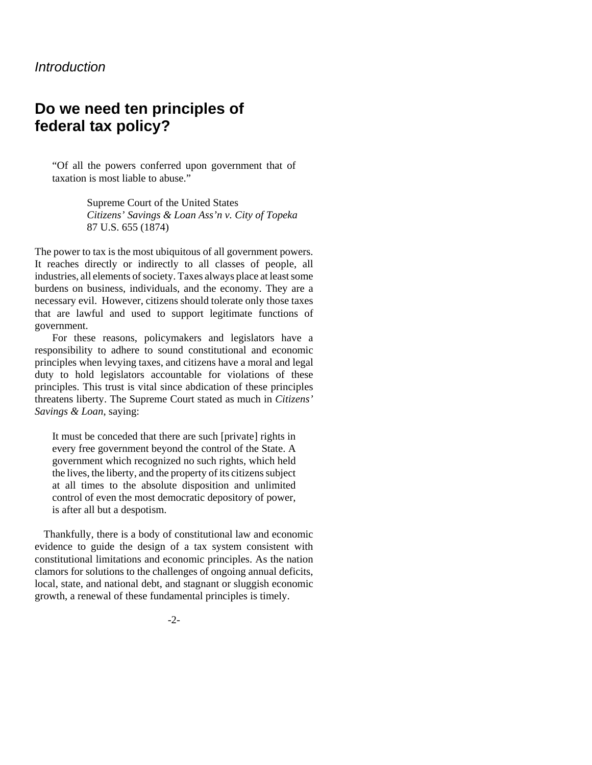#### *Introduction*

#### **Do we need ten principles of federal tax policy?**

"Of all the powers conferred upon government that of taxation is most liable to abuse."

> Supreme Court of the United States *Citizens' Savings & Loan Ass'n v. City of Topeka* 87 U.S. 655 (1874)

The power to tax is the most ubiquitous of all government powers. It reaches directly or indirectly to all classes of people, all industries, all elements of society. Taxes always place at least some burdens on business, individuals, and the economy. They are a necessary evil. However, citizens should tolerate only those taxes that are lawful and used to support legitimate functions of government.

For these reasons, policymakers and legislators have a responsibility to adhere to sound constitutional and economic principles when levying taxes, and citizens have a moral and legal duty to hold legislators accountable for violations of these principles. This trust is vital since abdication of these principles threatens liberty. The Supreme Court stated as much in *Citizens' Savings & Loan*, saying:

It must be conceded that there are such [private] rights in every free government beyond the control of the State. A government which recognized no such rights, which held the lives, the liberty, and the property of its citizens subject at all times to the absolute disposition and unlimited control of even the most democratic depository of power, is after all but a despotism.

 Thankfully, there is a body of constitutional law and economic evidence to guide the design of a tax system consistent with constitutional limitations and economic principles. As the nation clamors for solutions to the challenges of ongoing annual deficits, local, state, and national debt, and stagnant or sluggish economic growth, a renewal of these fundamental principles is timely.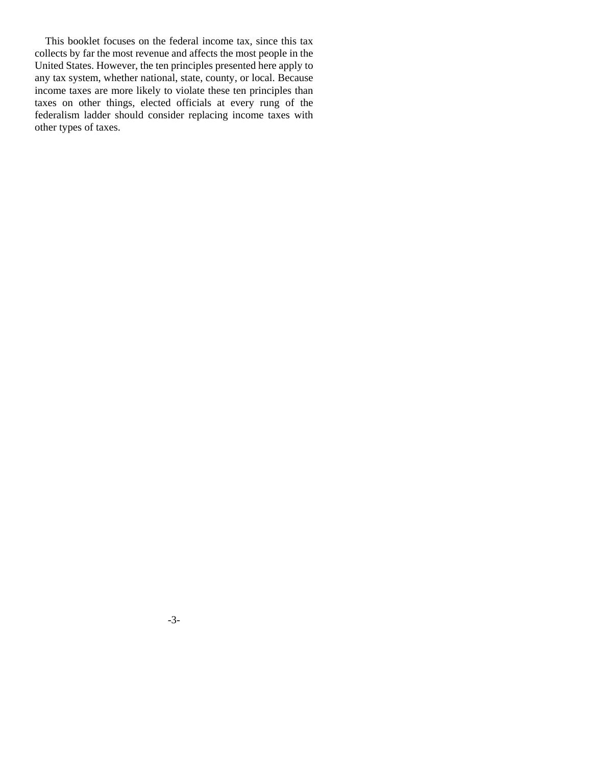This booklet focuses on the federal income tax, since this tax collects by far the most revenue and affects the most people in the United States. However, the ten principles presented here apply to any tax system, whether national, state, county, or local. Because income taxes are more likely to violate these ten principles than taxes on other things, elected officials at every rung of the federalism ladder should consider replacing income taxes with other types of taxes.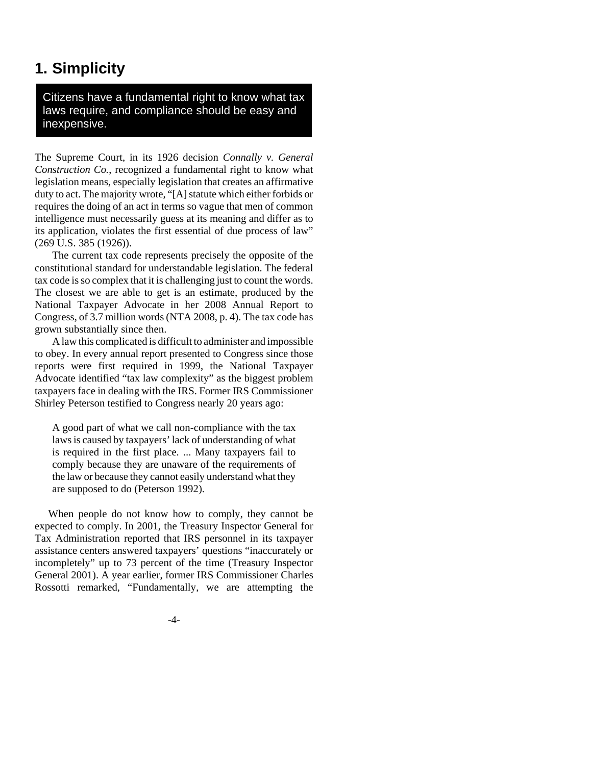## **1. Simplicity**

Citizens have a fundamental right to know what tax laws require, and compliance should be easy and inexpensive.

The Supreme Court, in its 1926 decision *Connally v. General Construction Co.*, recognized a fundamental right to know what legislation means, especially legislation that creates an affirmative duty to act. The majority wrote, "[A] statute which either forbids or requires the doing of an act in terms so vague that men of common intelligence must necessarily guess at its meaning and differ as to its application, violates the first essential of due process of law" (269 U.S. 385 (1926)).

The current tax code represents precisely the opposite of the constitutional standard for understandable legislation. The federal tax code is so complex that it is challenging just to count the words. The closest we are able to get is an estimate, produced by the National Taxpayer Advocate in her 2008 Annual Report to Congress, of 3.7 million words (NTA 2008, p. 4). The tax code has grown substantially since then.

A law this complicated is difficult to administer and impossible to obey. In every annual report presented to Congress since those reports were first required in 1999, the National Taxpayer Advocate identified "tax law complexity" as the biggest problem taxpayers face in dealing with the IRS. Former IRS Commissioner Shirley Peterson testified to Congress nearly 20 years ago:

A good part of what we call non-compliance with the tax laws is caused by taxpayers' lack of understanding of what is required in the first place. ... Many taxpayers fail to comply because they are unaware of the requirements of the law or because they cannot easily understand what they are supposed to do (Peterson 1992).

 When people do not know how to comply, they cannot be expected to comply. In 2001, the Treasury Inspector General for Tax Administration reported that IRS personnel in its taxpayer assistance centers answered taxpayers' questions "inaccurately or incompletely" up to 73 percent of the time (Treasury Inspector General 2001). A year earlier, former IRS Commissioner Charles Rossotti remarked, "Fundamentally, we are attempting the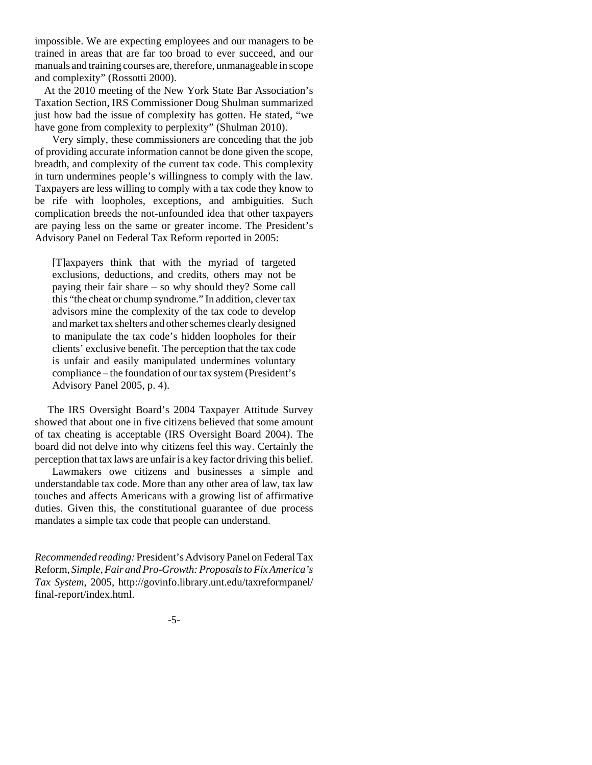impossible. We are expecting employees and our managers to be trained in areas that are far too broad to ever succeed, and our manuals and training courses are, therefore, unmanageable in scope and complexity" (Rossotti 2000).

 At the 2010 meeting of the New York State Bar Association's Taxation Section, IRS Commissioner Doug Shulman summarized just how bad the issue of complexity has gotten. He stated, "we have gone from complexity to perplexity" (Shulman 2010).

Very simply, these commissioners are conceding that the job of providing accurate information cannot be done given the scope, breadth, and complexity of the current tax code. This complexity in turn undermines people's willingness to comply with the law. Taxpayers are less willing to comply with a tax code they know to be rife with loopholes, exceptions, and ambiguities. Such complication breeds the not-unfounded idea that other taxpayers are paying less on the same or greater income. The President's Advisory Panel on Federal Tax Reform reported in 2005:

[T]axpayers think that with the myriad of targeted exclusions, deductions, and credits, others may not be paying their fair share – so why should they? Some call this "the cheat or chump syndrome." In addition, clever tax advisors mine the complexity of the tax code to develop and market tax shelters and other schemes clearly designed to manipulate the tax code's hidden loopholes for their clients' exclusive benefit. The perception that the tax code is unfair and easily manipulated undermines voluntary compliance – the foundation of our tax system (President's Advisory Panel 2005, p. 4).

 The IRS Oversight Board's 2004 Taxpayer Attitude Survey showed that about one in five citizens believed that some amount of tax cheating is acceptable (IRS Oversight Board 2004). The board did not delve into why citizens feel this way. Certainly the perception that tax laws are unfair is a key factor driving this belief.

Lawmakers owe citizens and businesses a simple and understandable tax code. More than any other area of law, tax law touches and affects Americans with a growing list of affirmative duties. Given this, the constitutional guarantee of due process mandates a simple tax code that people can understand.

*Recommended reading:* President's Advisory Panel on Federal Tax Reform, *Simple, Fair and Pro-Growth: Proposals to Fix America's Tax System*, 2005, http://govinfo.library.unt.edu/taxreformpanel/ final-report/index.html.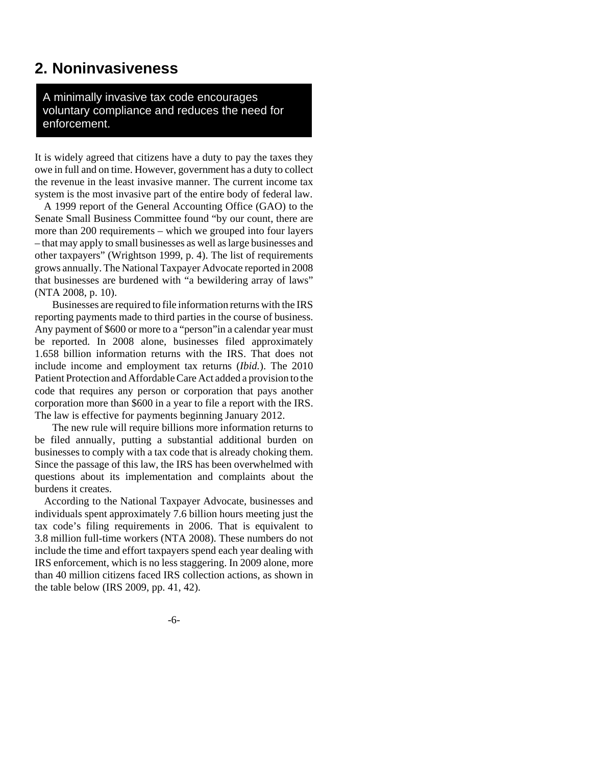#### **2. Noninvasiveness**

A minimally invasive tax code encourages voluntary compliance and reduces the need for enforcement.

It is widely agreed that citizens have a duty to pay the taxes they owe in full and on time. However, government has a duty to collect the revenue in the least invasive manner. The current income tax system is the most invasive part of the entire body of federal law.

 A 1999 report of the General Accounting Office (GAO) to the Senate Small Business Committee found "by our count, there are more than 200 requirements – which we grouped into four layers – that may apply to small businesses as well as large businesses and other taxpayers" (Wrightson 1999, p. 4). The list of requirements grows annually. The National Taxpayer Advocate reported in 2008 that businesses are burdened with "a bewildering array of laws" (NTA 2008, p. 10).

Businesses are required to file information returns with the IRS reporting payments made to third parties in the course of business. Any payment of \$600 or more to a "person" in a calendar year must be reported. In 2008 alone, businesses filed approximately 1.658 billion information returns with the IRS. That does not include income and employment tax returns (*Ibid.*). The 2010 Patient Protection and Affordable Care Act added a provision to the code that requires any person or corporation that pays another corporation more than \$600 in a year to file a report with the IRS. The law is effective for payments beginning January 2012.

The new rule will require billions more information returns to be filed annually, putting a substantial additional burden on businesses to comply with a tax code that is already choking them. Since the passage of this law, the IRS has been overwhelmed with questions about its implementation and complaints about the burdens it creates.

 According to the National Taxpayer Advocate, businesses and individuals spent approximately 7.6 billion hours meeting just the tax code's filing requirements in 2006. That is equivalent to 3.8 million full-time workers (NTA 2008). These numbers do not include the time and effort taxpayers spend each year dealing with IRS enforcement, which is no less staggering. In 2009 alone, more than 40 million citizens faced IRS collection actions, as shown in the table below (IRS 2009, pp. 41, 42).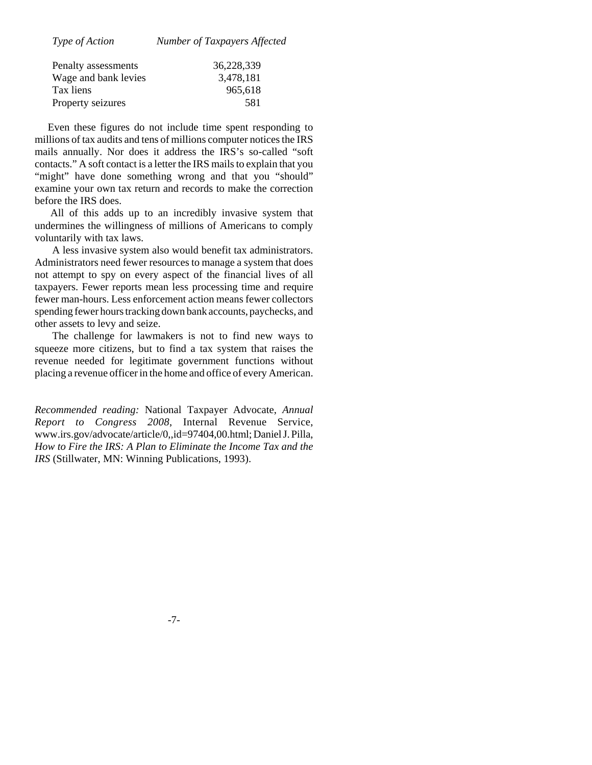| Type of Action | <b>Number of Taxpayers Affected</b> |
|----------------|-------------------------------------|
|                |                                     |

| Penalty assessments  | 36,228,339 |
|----------------------|------------|
| Wage and bank levies | 3,478,181  |
| Tax liens            | 965,618    |
| Property seizures    | 581        |

 Even these figures do not include time spent responding to millions of tax audits and tens of millions computer notices the IRS mails annually. Nor does it address the IRS's so-called "soft contacts." A soft contact is a letter the IRS mails to explain that you "might" have done something wrong and that you "should" examine your own tax return and records to make the correction before the IRS does.

 All of this adds up to an incredibly invasive system that undermines the willingness of millions of Americans to comply voluntarily with tax laws.

A less invasive system also would benefit tax administrators. Administrators need fewer resources to manage a system that does not attempt to spy on every aspect of the financial lives of all taxpayers. Fewer reports mean less processing time and require fewer man-hours. Less enforcement action means fewer collectors spending fewer hours tracking down bank accounts, paychecks, and other assets to levy and seize.

The challenge for lawmakers is not to find new ways to squeeze more citizens, but to find a tax system that raises the revenue needed for legitimate government functions without placing a revenue officer in the home and office of every American.

*Recommended reading:* National Taxpayer Advocate, *Annual Report to Congress 2008*, Internal Revenue Service, www.irs.gov/advocate/article/0,,id=97404,00.html; Daniel J. Pilla, *How to Fire the IRS: A Plan to Eliminate the Income Tax and the IRS* (Stillwater, MN: Winning Publications, 1993).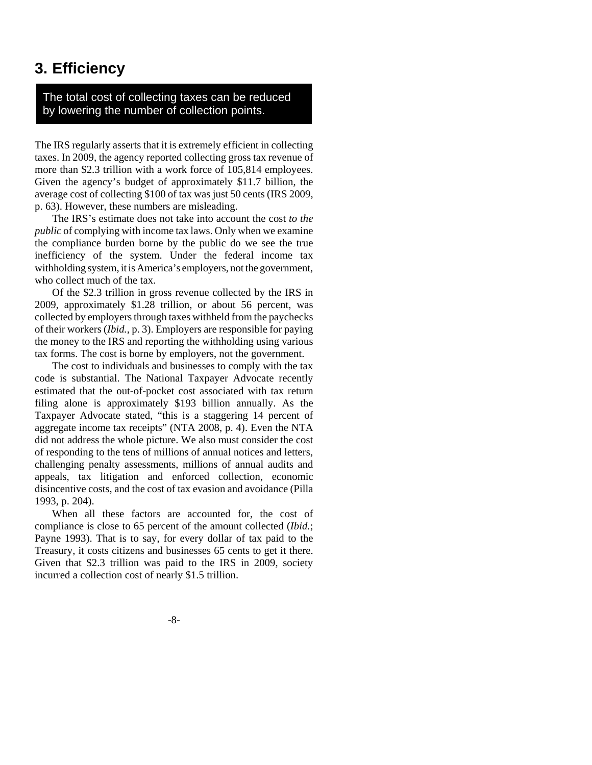## **3. Efficiency**

The total cost of collecting taxes can be reduced by lowering the number of collection points.

The IRS regularly asserts that it is extremely efficient in collecting taxes. In 2009, the agency reported collecting gross tax revenue of more than \$2.3 trillion with a work force of 105,814 employees. Given the agency's budget of approximately \$11.7 billion, the average cost of collecting \$100 of tax was just 50 cents (IRS 2009, p. 63). However, these numbers are misleading.

The IRS's estimate does not take into account the cost *to the public* of complying with income tax laws. Only when we examine the compliance burden borne by the public do we see the true inefficiency of the system. Under the federal income tax withholding system, it is America's employers, not the government, who collect much of the tax.

Of the \$2.3 trillion in gross revenue collected by the IRS in 2009, approximately \$1.28 trillion, or about 56 percent, was collected by employers through taxes withheld from the paychecks of their workers (*Ibid.*, p. 3). Employers are responsible for paying the money to the IRS and reporting the withholding using various tax forms. The cost is borne by employers, not the government.

The cost to individuals and businesses to comply with the tax code is substantial. The National Taxpayer Advocate recently estimated that the out-of-pocket cost associated with tax return filing alone is approximately \$193 billion annually. As the Taxpayer Advocate stated, "this is a staggering 14 percent of aggregate income tax receipts" (NTA 2008, p. 4). Even the NTA did not address the whole picture. We also must consider the cost of responding to the tens of millions of annual notices and letters, challenging penalty assessments, millions of annual audits and appeals, tax litigation and enforced collection, economic disincentive costs, and the cost of tax evasion and avoidance (Pilla 1993, p. 204).

When all these factors are accounted for, the cost of compliance is close to 65 percent of the amount collected (*Ibid.*; Payne 1993). That is to say, for every dollar of tax paid to the Treasury, it costs citizens and businesses 65 cents to get it there. Given that \$2.3 trillion was paid to the IRS in 2009, society incurred a collection cost of nearly \$1.5 trillion.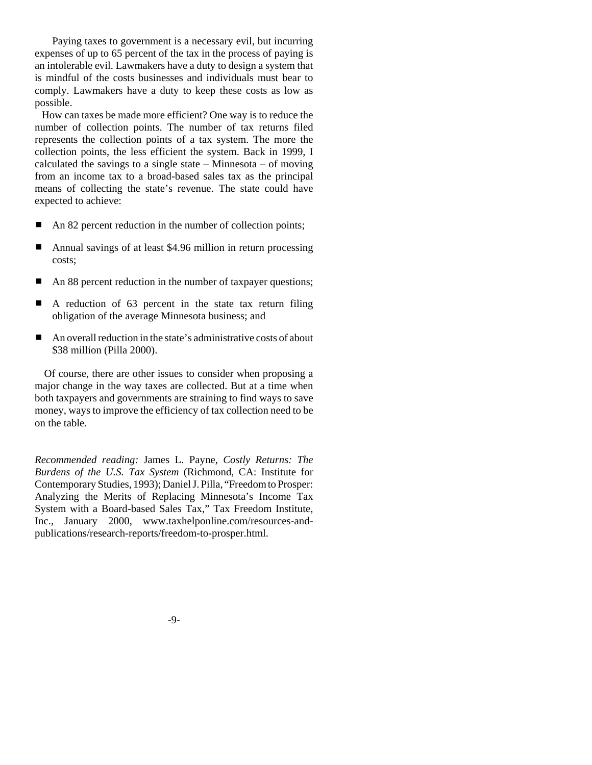Paying taxes to government is a necessary evil, but incurring expenses of up to 65 percent of the tax in the process of paying is an intolerable evil. Lawmakers have a duty to design a system that is mindful of the costs businesses and individuals must bear to comply. Lawmakers have a duty to keep these costs as low as possible.

 How can taxes be made more efficient? One way is to reduce the number of collection points. The number of tax returns filed represents the collection points of a tax system. The more the collection points, the less efficient the system. Back in 1999, I calculated the savings to a single state – Minnesota – of moving from an income tax to a broad-based sales tax as the principal means of collecting the state's revenue. The state could have expected to achieve:

- An 82 percent reduction in the number of collection points;
- $\blacksquare$  Annual savings of at least \$4.96 million in return processing costs;
- An 88 percent reduction in the number of taxpayer questions;
- $\blacksquare$  A reduction of 63 percent in the state tax return filing obligation of the average Minnesota business; and
- $\blacksquare$  An overall reduction in the state's administrative costs of about \$38 million (Pilla 2000).

 Of course, there are other issues to consider when proposing a major change in the way taxes are collected. But at a time when both taxpayers and governments are straining to find ways to save money, ways to improve the efficiency of tax collection need to be on the table.

*Recommended reading:* James L. Payne, *Costly Returns: The Burdens of the U.S. Tax System* (Richmond, CA: Institute for Contemporary Studies, 1993); Daniel J. Pilla, "Freedom to Prosper: Analyzing the Merits of Replacing Minnesota's Income Tax System with a Board-based Sales Tax," Tax Freedom Institute, Inc., January 2000, www.taxhelponline.com/resources-andpublications/research-reports/freedom-to-prosper.html.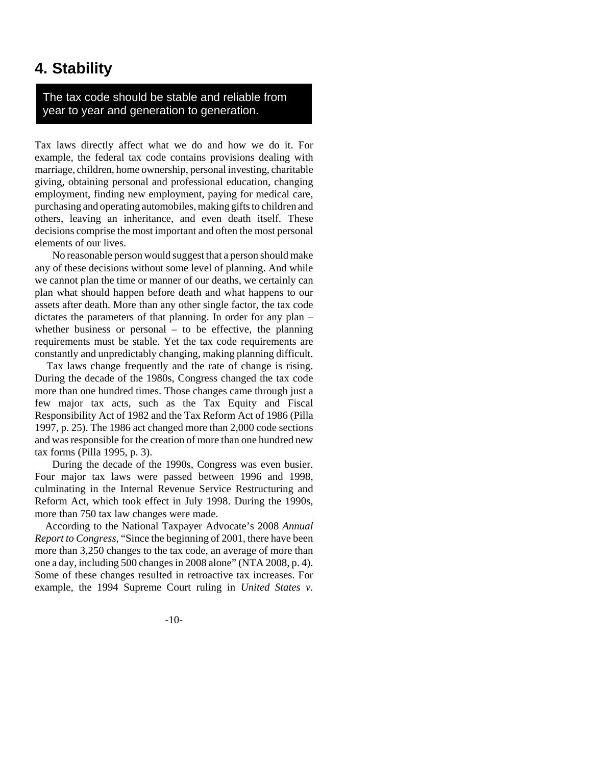#### **4. Stability**

The tax code should be stable and reliable from year to year and generation to generation.

Tax laws directly affect what we do and how we do it. For example, the federal tax code contains provisions dealing with marriage, children, home ownership, personal investing, charitable giving, obtaining personal and professional education, changing employment, finding new employment, paying for medical care, purchasing and operating automobiles, making gifts to children and others, leaving an inheritance, and even death itself. These decisions comprise the most important and often the most personal elements of our lives.

No reasonable person would suggest that a person should make any of these decisions without some level of planning. And while we cannot plan the time or manner of our deaths, we certainly can plan what should happen before death and what happens to our assets after death. More than any other single factor, the tax code dictates the parameters of that planning. In order for any plan – whether business or personal – to be effective, the planning requirements must be stable. Yet the tax code requirements are constantly and unpredictably changing, making planning difficult.

 Tax laws change frequently and the rate of change is rising. During the decade of the 1980s, Congress changed the tax code more than one hundred times. Those changes came through just a few major tax acts, such as the Tax Equity and Fiscal Responsibility Act of 1982 and the Tax Reform Act of 1986 (Pilla 1997, p. 25). The 1986 act changed more than 2,000 code sections and was responsible for the creation of more than one hundred new tax forms (Pilla 1995, p. 3).

During the decade of the 1990s, Congress was even busier. Four major tax laws were passed between 1996 and 1998, culminating in the Internal Revenue Service Restructuring and Reform Act, which took effect in July 1998. During the 1990s, more than 750 tax law changes were made.

 According to the National Taxpayer Advocate's 2008 *Annual Report to Congress*, "Since the beginning of 2001, there have been more than 3,250 changes to the tax code, an average of more than one a day, including 500 changes in 2008 alone" (NTA 2008, p. 4). Some of these changes resulted in retroactive tax increases. For example, the 1994 Supreme Court ruling in *United States v.*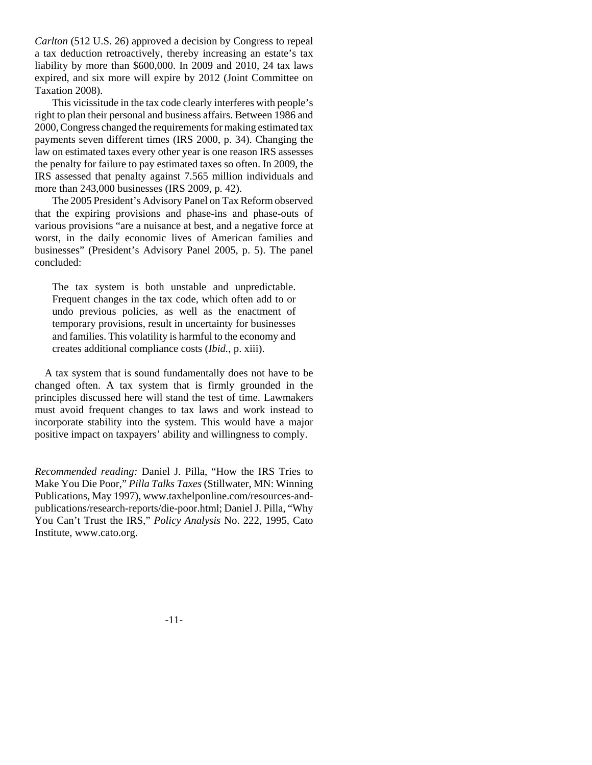*Carlton* (512 U.S. 26) approved a decision by Congress to repeal a tax deduction retroactively, thereby increasing an estate's tax liability by more than \$600,000. In 2009 and 2010, 24 tax laws expired, and six more will expire by 2012 (Joint Committee on Taxation 2008).

This vicissitude in the tax code clearly interferes with people's right to plan their personal and business affairs. Between 1986 and 2000, Congress changed the requirements for making estimated tax payments seven different times (IRS 2000, p. 34). Changing the law on estimated taxes every other year is one reason IRS assesses the penalty for failure to pay estimated taxes so often. In 2009, the IRS assessed that penalty against 7.565 million individuals and more than 243,000 businesses (IRS 2009, p. 42).

The 2005 President's Advisory Panel on Tax Reform observed that the expiring provisions and phase-ins and phase-outs of various provisions "are a nuisance at best, and a negative force at worst, in the daily economic lives of American families and businesses" (President's Advisory Panel 2005, p. 5). The panel concluded:

The tax system is both unstable and unpredictable. Frequent changes in the tax code, which often add to or undo previous policies, as well as the enactment of temporary provisions, result in uncertainty for businesses and families. This volatility is harmful to the economy and creates additional compliance costs (*Ibid.*, p. xiii).

 A tax system that is sound fundamentally does not have to be changed often. A tax system that is firmly grounded in the principles discussed here will stand the test of time. Lawmakers must avoid frequent changes to tax laws and work instead to incorporate stability into the system. This would have a major positive impact on taxpayers' ability and willingness to comply.

*Recommended reading:* Daniel J. Pilla, "How the IRS Tries to Make You Die Poor," *Pilla Talks Taxes* (Stillwater, MN: Winning Publications, May 1997), www.taxhelponline.com/resources-andpublications/research-reports/die-poor.html; Daniel J. Pilla, "Why You Can't Trust the IRS," *Policy Analysis* No. 222, 1995, Cato Institute, www.cato.org.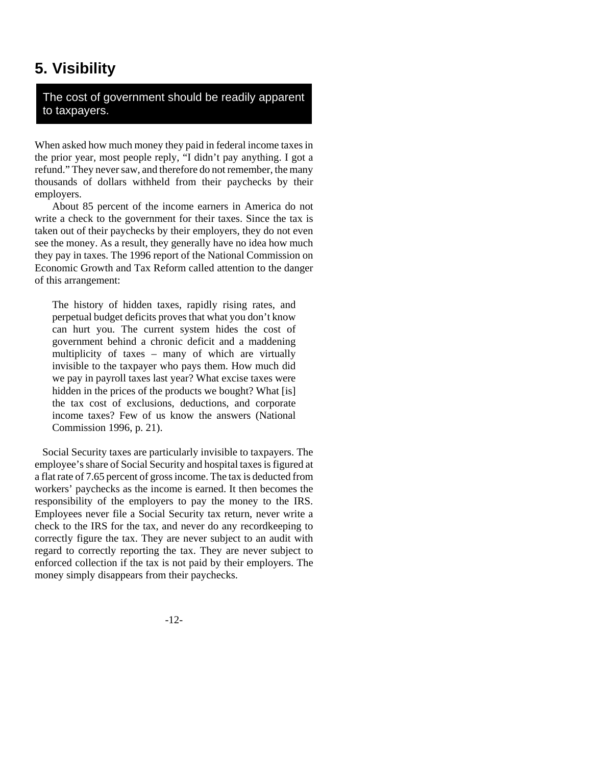# **5. Visibility**

#### The cost of government should be readily apparent to taxpayers.

When asked how much money they paid in federal income taxes in the prior year, most people reply, "I didn't pay anything. I got a refund." They never saw, and therefore do not remember, the many thousands of dollars withheld from their paychecks by their employers.

About 85 percent of the income earners in America do not write a check to the government for their taxes. Since the tax is taken out of their paychecks by their employers, they do not even see the money. As a result, they generally have no idea how much they pay in taxes. The 1996 report of the National Commission on Economic Growth and Tax Reform called attention to the danger of this arrangement:

The history of hidden taxes, rapidly rising rates, and perpetual budget deficits proves that what you don't know can hurt you. The current system hides the cost of government behind a chronic deficit and a maddening multiplicity of taxes – many of which are virtually invisible to the taxpayer who pays them. How much did we pay in payroll taxes last year? What excise taxes were hidden in the prices of the products we bought? What [is] the tax cost of exclusions, deductions, and corporate income taxes? Few of us know the answers (National Commission 1996, p. 21).

 Social Security taxes are particularly invisible to taxpayers. The employee's share of Social Security and hospital taxes is figured at a flat rate of 7.65 percent of gross income. The tax is deducted from workers' paychecks as the income is earned. It then becomes the responsibility of the employers to pay the money to the IRS. Employees never file a Social Security tax return, never write a check to the IRS for the tax, and never do any recordkeeping to correctly figure the tax. They are never subject to an audit with regard to correctly reporting the tax. They are never subject to enforced collection if the tax is not paid by their employers. The money simply disappears from their paychecks.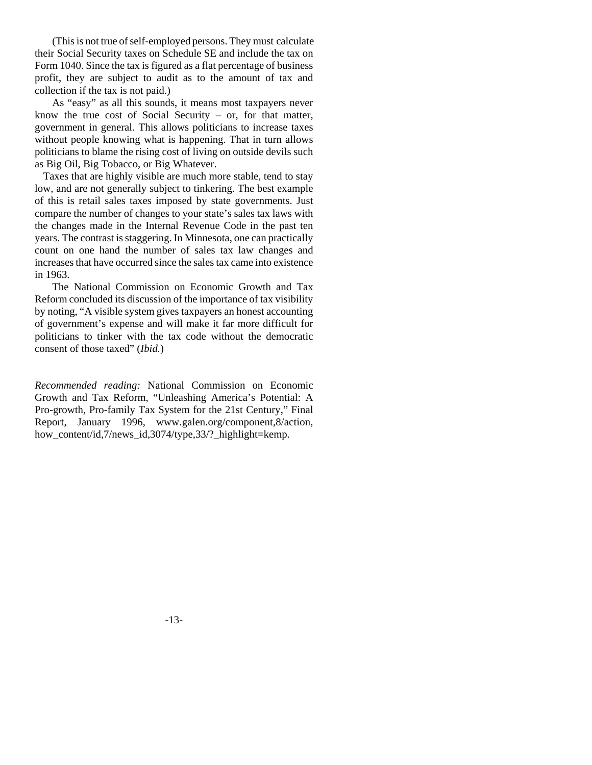(This is not true of self-employed persons. They must calculate their Social Security taxes on Schedule SE and include the tax on Form 1040. Since the tax is figured as a flat percentage of business profit, they are subject to audit as to the amount of tax and collection if the tax is not paid.)

As "easy" as all this sounds, it means most taxpayers never know the true cost of Social Security – or, for that matter, government in general. This allows politicians to increase taxes without people knowing what is happening. That in turn allows politicians to blame the rising cost of living on outside devils such as Big Oil, Big Tobacco, or Big Whatever.

 Taxes that are highly visible are much more stable, tend to stay low, and are not generally subject to tinkering. The best example of this is retail sales taxes imposed by state governments. Just compare the number of changes to your state's sales tax laws with the changes made in the Internal Revenue Code in the past ten years. The contrast is staggering. In Minnesota, one can practically count on one hand the number of sales tax law changes and increases that have occurred since the sales tax came into existence in 1963.

The National Commission on Economic Growth and Tax Reform concluded its discussion of the importance of tax visibility by noting, "A visible system gives taxpayers an honest accounting of government's expense and will make it far more difficult for politicians to tinker with the tax code without the democratic consent of those taxed" (*Ibid.*)

*Recommended reading:* National Commission on Economic Growth and Tax Reform, "Unleashing America's Potential: A Pro-growth, Pro-family Tax System for the 21st Century," Final Report, January 1996, www.galen.org/component,8/action, how\_content/id,7/news\_id,3074/type,33/?\_highlight=kemp.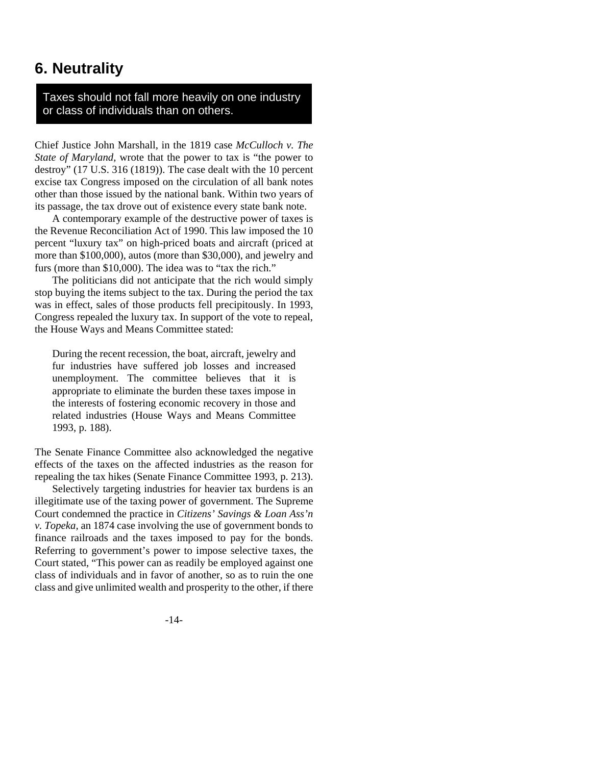#### **6. Neutrality**

Taxes should not fall more heavily on one industry or class of individuals than on others.

Chief Justice John Marshall, in the 1819 case *McCulloch v. The State of Maryland,* wrote that the power to tax is "the power to destroy" (17 U.S. 316 (1819)). The case dealt with the 10 percent excise tax Congress imposed on the circulation of all bank notes other than those issued by the national bank. Within two years of its passage, the tax drove out of existence every state bank note.

A contemporary example of the destructive power of taxes is the Revenue Reconciliation Act of 1990. This law imposed the 10 percent "luxury tax" on high-priced boats and aircraft (priced at more than \$100,000), autos (more than \$30,000), and jewelry and furs (more than \$10,000). The idea was to "tax the rich."

The politicians did not anticipate that the rich would simply stop buying the items subject to the tax. During the period the tax was in effect, sales of those products fell precipitously. In 1993, Congress repealed the luxury tax. In support of the vote to repeal, the House Ways and Means Committee stated:

During the recent recession, the boat, aircraft, jewelry and fur industries have suffered job losses and increased unemployment. The committee believes that it is appropriate to eliminate the burden these taxes impose in the interests of fostering economic recovery in those and related industries (House Ways and Means Committee 1993, p. 188).

The Senate Finance Committee also acknowledged the negative effects of the taxes on the affected industries as the reason for repealing the tax hikes (Senate Finance Committee 1993, p. 213).

Selectively targeting industries for heavier tax burdens is an illegitimate use of the taxing power of government. The Supreme Court condemned the practice in *Citizens' Savings & Loan Ass'n v. Topeka,* an 1874 case involving the use of government bonds to finance railroads and the taxes imposed to pay for the bonds. Referring to government's power to impose selective taxes, the Court stated, "This power can as readily be employed against one class of individuals and in favor of another, so as to ruin the one class and give unlimited wealth and prosperity to the other, if there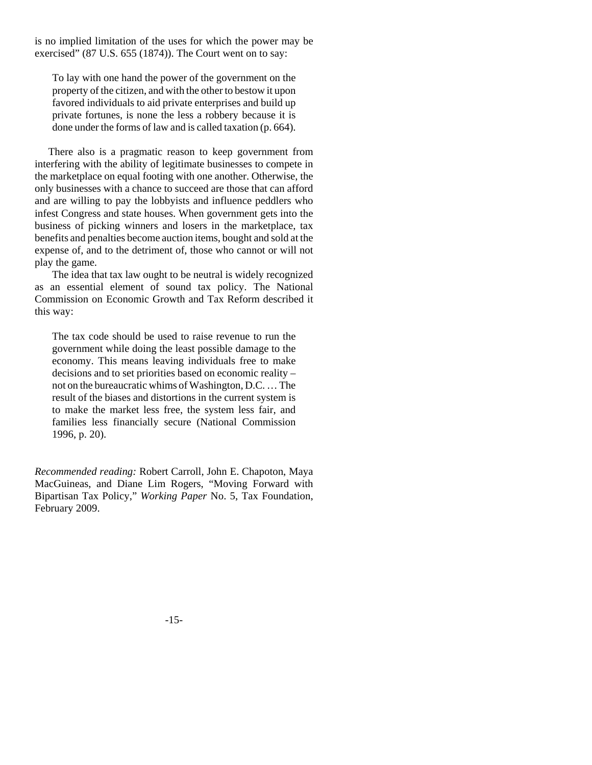is no implied limitation of the uses for which the power may be exercised" (87 U.S. 655 (1874)). The Court went on to say:

To lay with one hand the power of the government on the property of the citizen, and with the other to bestow it upon favored individuals to aid private enterprises and build up private fortunes, is none the less a robbery because it is done under the forms of law and is called taxation (p. 664).

 There also is a pragmatic reason to keep government from interfering with the ability of legitimate businesses to compete in the marketplace on equal footing with one another. Otherwise, the only businesses with a chance to succeed are those that can afford and are willing to pay the lobbyists and influence peddlers who infest Congress and state houses. When government gets into the business of picking winners and losers in the marketplace, tax benefits and penalties become auction items, bought and sold at the expense of, and to the detriment of, those who cannot or will not play the game.

The idea that tax law ought to be neutral is widely recognized as an essential element of sound tax policy. The National Commission on Economic Growth and Tax Reform described it this way:

The tax code should be used to raise revenue to run the government while doing the least possible damage to the economy. This means leaving individuals free to make decisions and to set priorities based on economic reality – not on the bureaucratic whims of Washington, D.C. … The result of the biases and distortions in the current system is to make the market less free, the system less fair, and families less financially secure (National Commission 1996, p. 20).

*Recommended reading:* Robert Carroll, John E. Chapoton, Maya MacGuineas, and Diane Lim Rogers, "Moving Forward with Bipartisan Tax Policy," *Working Paper* No. 5, Tax Foundation, February 2009.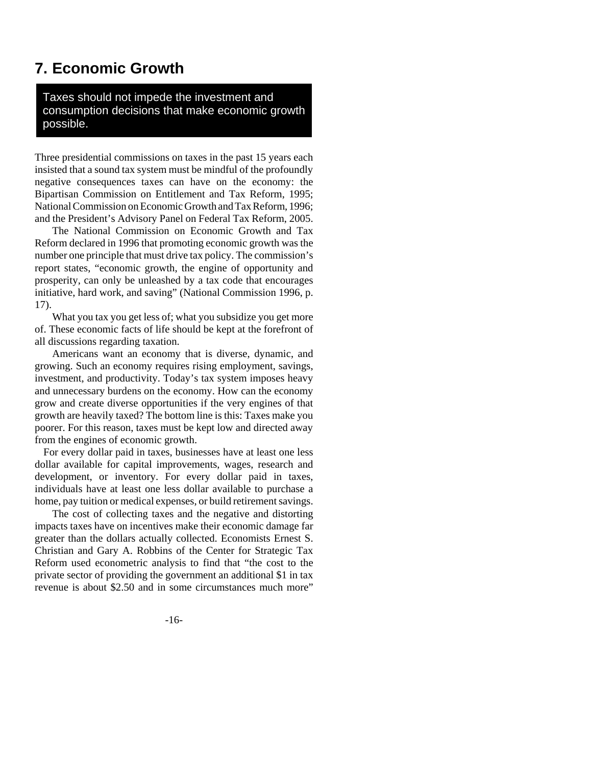## **7. Economic Growth**

Taxes should not impede the investment and consumption decisions that make economic growth possible.

Three presidential commissions on taxes in the past 15 years each insisted that a sound tax system must be mindful of the profoundly negative consequences taxes can have on the economy: the Bipartisan Commission on Entitlement and Tax Reform, 1995; National Commission on Economic Growth and Tax Reform, 1996; and the President's Advisory Panel on Federal Tax Reform, 2005.

The National Commission on Economic Growth and Tax Reform declared in 1996 that promoting economic growth was the number one principle that must drive tax policy. The commission's report states, "economic growth, the engine of opportunity and prosperity, can only be unleashed by a tax code that encourages initiative, hard work, and saving" (National Commission 1996, p. 17).

What you tax you get less of; what you subsidize you get more of. These economic facts of life should be kept at the forefront of all discussions regarding taxation.

Americans want an economy that is diverse, dynamic, and growing. Such an economy requires rising employment, savings, investment, and productivity. Today's tax system imposes heavy and unnecessary burdens on the economy. How can the economy grow and create diverse opportunities if the very engines of that growth are heavily taxed? The bottom line is this: Taxes make you poorer. For this reason, taxes must be kept low and directed away from the engines of economic growth.

 For every dollar paid in taxes, businesses have at least one less dollar available for capital improvements, wages, research and development, or inventory. For every dollar paid in taxes, individuals have at least one less dollar available to purchase a home, pay tuition or medical expenses, or build retirement savings.

The cost of collecting taxes and the negative and distorting impacts taxes have on incentives make their economic damage far greater than the dollars actually collected. Economists Ernest S. Christian and Gary A. Robbins of the Center for Strategic Tax Reform used econometric analysis to find that "the cost to the private sector of providing the government an additional \$1 in tax revenue is about \$2.50 and in some circumstances much more"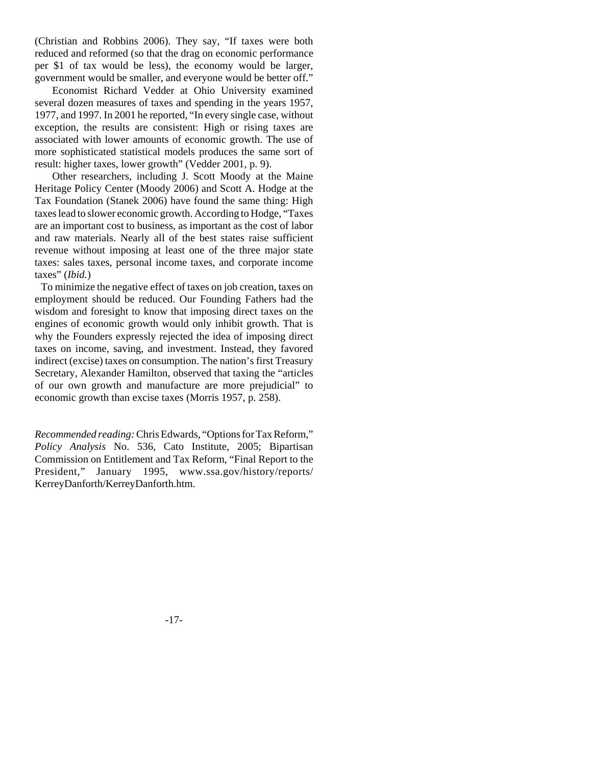(Christian and Robbins 2006). They say, "If taxes were both reduced and reformed (so that the drag on economic performance per \$1 of tax would be less), the economy would be larger, government would be smaller, and everyone would be better off."

Economist Richard Vedder at Ohio University examined several dozen measures of taxes and spending in the years 1957, 1977, and 1997. In 2001 he reported, "In every single case, without exception, the results are consistent: High or rising taxes are associated with lower amounts of economic growth. The use of more sophisticated statistical models produces the same sort of result: higher taxes, lower growth" (Vedder 2001, p. 9).

Other researchers, including J. Scott Moody at the Maine Heritage Policy Center (Moody 2006) and Scott A. Hodge at the Tax Foundation (Stanek 2006) have found the same thing: High taxes lead to slower economic growth. According to Hodge, "Taxes are an important cost to business, as important as the cost of labor and raw materials. Nearly all of the best states raise sufficient revenue without imposing at least one of the three major state taxes: sales taxes, personal income taxes, and corporate income taxes" (*Ibid.*)

 To minimize the negative effect of taxes on job creation, taxes on employment should be reduced. Our Founding Fathers had the wisdom and foresight to know that imposing direct taxes on the engines of economic growth would only inhibit growth. That is why the Founders expressly rejected the idea of imposing direct taxes on income, saving, and investment. Instead, they favored indirect (excise) taxes on consumption. The nation's first Treasury Secretary, Alexander Hamilton, observed that taxing the "articles of our own growth and manufacture are more prejudicial" to economic growth than excise taxes (Morris 1957, p. 258).

*Recommended reading:* Chris Edwards, "Options for Tax Reform," *Policy Analysis* No. 536, Cato Institute, 2005; Bipartisan Commission on Entitlement and Tax Reform, "Final Report to the President," January 1995, www.ssa.gov/history/reports/ KerreyDanforth/KerreyDanforth.htm.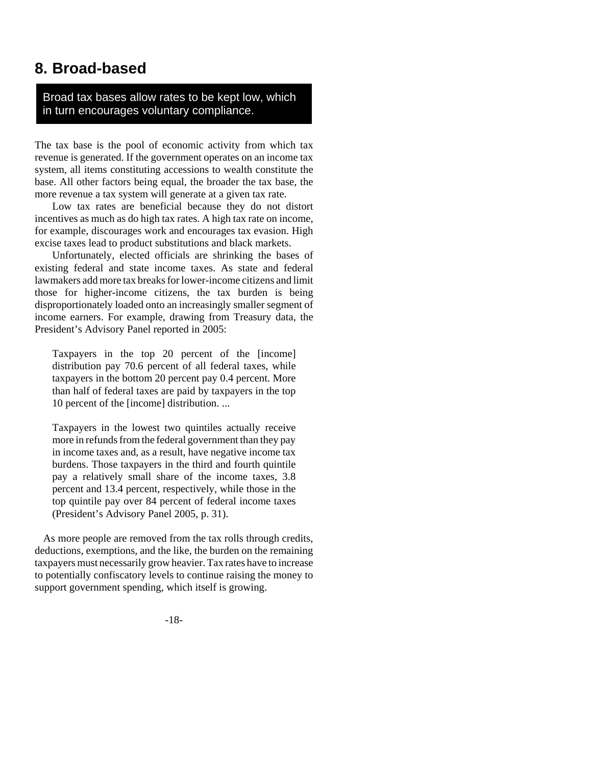#### **8. Broad-based**

Broad tax bases allow rates to be kept low, which in turn encourages voluntary compliance.

The tax base is the pool of economic activity from which tax revenue is generated. If the government operates on an income tax system, all items constituting accessions to wealth constitute the base. All other factors being equal, the broader the tax base, the more revenue a tax system will generate at a given tax rate.

Low tax rates are beneficial because they do not distort incentives as much as do high tax rates. A high tax rate on income, for example, discourages work and encourages tax evasion. High excise taxes lead to product substitutions and black markets.

Unfortunately, elected officials are shrinking the bases of existing federal and state income taxes. As state and federal lawmakers add more tax breaks for lower-income citizens and limit those for higher-income citizens, the tax burden is being disproportionately loaded onto an increasingly smaller segment of income earners. For example, drawing from Treasury data, the President's Advisory Panel reported in 2005:

Taxpayers in the top 20 percent of the [income] distribution pay 70.6 percent of all federal taxes, while taxpayers in the bottom 20 percent pay 0.4 percent. More than half of federal taxes are paid by taxpayers in the top 10 percent of the [income] distribution. ...

Taxpayers in the lowest two quintiles actually receive more in refunds from the federal government than they pay in income taxes and, as a result, have negative income tax burdens. Those taxpayers in the third and fourth quintile pay a relatively small share of the income taxes, 3.8 percent and 13.4 percent, respectively, while those in the top quintile pay over 84 percent of federal income taxes (President's Advisory Panel 2005, p. 31).

 As more people are removed from the tax rolls through credits, deductions, exemptions, and the like, the burden on the remaining taxpayers must necessarily grow heavier. Tax rates have to increase to potentially confiscatory levels to continue raising the money to support government spending, which itself is growing.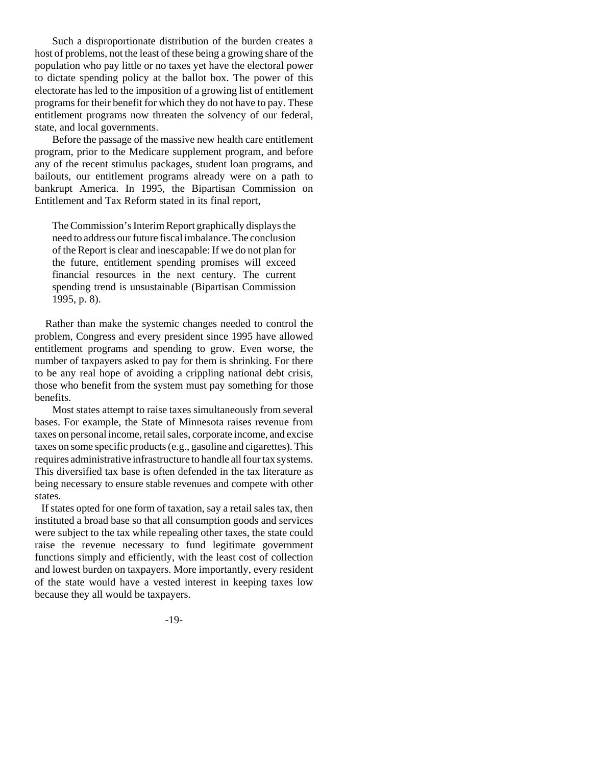Such a disproportionate distribution of the burden creates a host of problems, not the least of these being a growing share of the population who pay little or no taxes yet have the electoral power to dictate spending policy at the ballot box. The power of this electorate has led to the imposition of a growing list of entitlement programs for their benefit for which they do not have to pay. These entitlement programs now threaten the solvency of our federal, state, and local governments.

Before the passage of the massive new health care entitlement program, prior to the Medicare supplement program, and before any of the recent stimulus packages, student loan programs, and bailouts, our entitlement programs already were on a path to bankrupt America. In 1995, the Bipartisan Commission on Entitlement and Tax Reform stated in its final report,

The Commission's Interim Report graphically displays the need to address our future fiscal imbalance. The conclusion of the Report is clear and inescapable: If we do not plan for the future, entitlement spending promises will exceed financial resources in the next century. The current spending trend is unsustainable (Bipartisan Commission 1995, p. 8).

 Rather than make the systemic changes needed to control the problem, Congress and every president since 1995 have allowed entitlement programs and spending to grow. Even worse, the number of taxpayers asked to pay for them is shrinking. For there to be any real hope of avoiding a crippling national debt crisis, those who benefit from the system must pay something for those benefits.

Most states attempt to raise taxes simultaneously from several bases. For example, the State of Minnesota raises revenue from taxes on personal income, retail sales, corporate income, and excise taxes on some specific products (e.g., gasoline and cigarettes). This requires administrative infrastructure to handle all four tax systems. This diversified tax base is often defended in the tax literature as being necessary to ensure stable revenues and compete with other states.

 If states opted for one form of taxation, say a retail sales tax, then instituted a broad base so that all consumption goods and services were subject to the tax while repealing other taxes, the state could raise the revenue necessary to fund legitimate government functions simply and efficiently, with the least cost of collection and lowest burden on taxpayers. More importantly, every resident of the state would have a vested interest in keeping taxes low because they all would be taxpayers.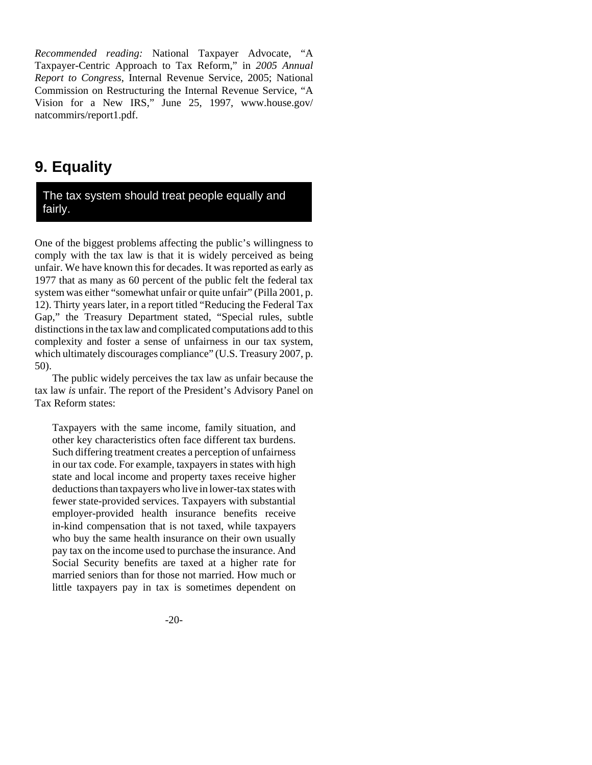*Recommended reading:* National Taxpayer Advocate, "A Taxpayer-Centric Approach to Tax Reform," in *2005 Annual Report to Congress*, Internal Revenue Service, 2005; National Commission on Restructuring the Internal Revenue Service, "A Vision for a New IRS," June 25, 1997, www.house.gov/ natcommirs/report1.pdf.

## **9. Equality**

The tax system should treat people equally and fairly.

One of the biggest problems affecting the public's willingness to comply with the tax law is that it is widely perceived as being unfair. We have known this for decades. It was reported as early as 1977 that as many as 60 percent of the public felt the federal tax system was either "somewhat unfair or quite unfair" (Pilla 2001, p. 12). Thirty years later, in a report titled "Reducing the Federal Tax Gap," the Treasury Department stated, "Special rules, subtle distinctions in the tax law and complicated computations add to this complexity and foster a sense of unfairness in our tax system, which ultimately discourages compliance" (U.S. Treasury 2007, p. 50).

The public widely perceives the tax law as unfair because the tax law *is* unfair. The report of the President's Advisory Panel on Tax Reform states:

Taxpayers with the same income, family situation, and other key characteristics often face different tax burdens. Such differing treatment creates a perception of unfairness in our tax code. For example, taxpayers in states with high state and local income and property taxes receive higher deductions than taxpayers who live in lower-tax states with fewer state-provided services. Taxpayers with substantial employer-provided health insurance benefits receive in-kind compensation that is not taxed, while taxpayers who buy the same health insurance on their own usually pay tax on the income used to purchase the insurance. And Social Security benefits are taxed at a higher rate for married seniors than for those not married. How much or little taxpayers pay in tax is sometimes dependent on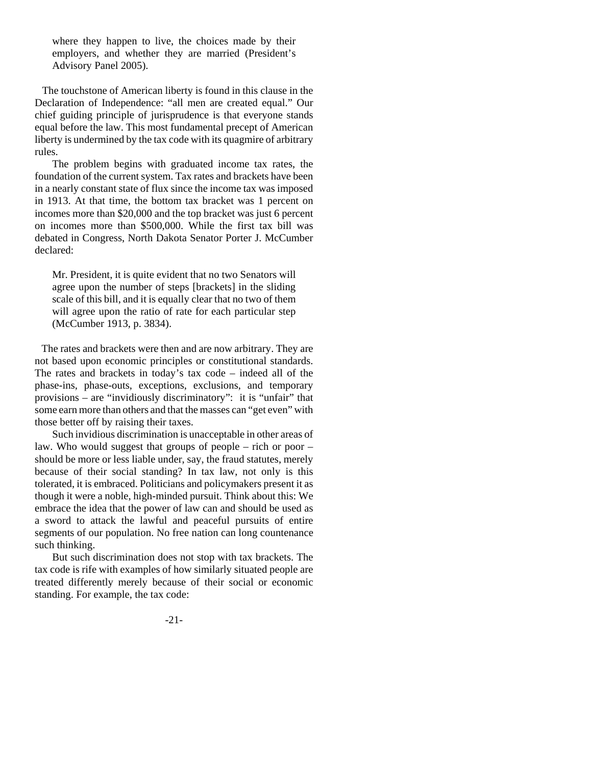where they happen to live, the choices made by their employers, and whether they are married (President's Advisory Panel 2005).

 The touchstone of American liberty is found in this clause in the Declaration of Independence: "all men are created equal." Our chief guiding principle of jurisprudence is that everyone stands equal before the law. This most fundamental precept of American liberty is undermined by the tax code with its quagmire of arbitrary rules.

The problem begins with graduated income tax rates, the foundation of the current system. Tax rates and brackets have been in a nearly constant state of flux since the income tax was imposed in 1913. At that time, the bottom tax bracket was 1 percent on incomes more than \$20,000 and the top bracket was just 6 percent on incomes more than \$500,000. While the first tax bill was debated in Congress, North Dakota Senator Porter J. McCumber declared:

Mr. President, it is quite evident that no two Senators will agree upon the number of steps [brackets] in the sliding scale of this bill, and it is equally clear that no two of them will agree upon the ratio of rate for each particular step (McCumber 1913, p. 3834).

 The rates and brackets were then and are now arbitrary. They are not based upon economic principles or constitutional standards. The rates and brackets in today's tax code – indeed all of the phase-ins, phase-outs, exceptions, exclusions, and temporary provisions – are "invidiously discriminatory": it is "unfair" that some earn more than others and that the masses can "get even" with those better off by raising their taxes.

Such invidious discrimination is unacceptable in other areas of law. Who would suggest that groups of people – rich or poor – should be more or less liable under, say, the fraud statutes, merely because of their social standing? In tax law, not only is this tolerated, it is embraced. Politicians and policymakers present it as though it were a noble, high-minded pursuit. Think about this: We embrace the idea that the power of law can and should be used as a sword to attack the lawful and peaceful pursuits of entire segments of our population. No free nation can long countenance such thinking.

But such discrimination does not stop with tax brackets. The tax code is rife with examples of how similarly situated people are treated differently merely because of their social or economic standing. For example, the tax code: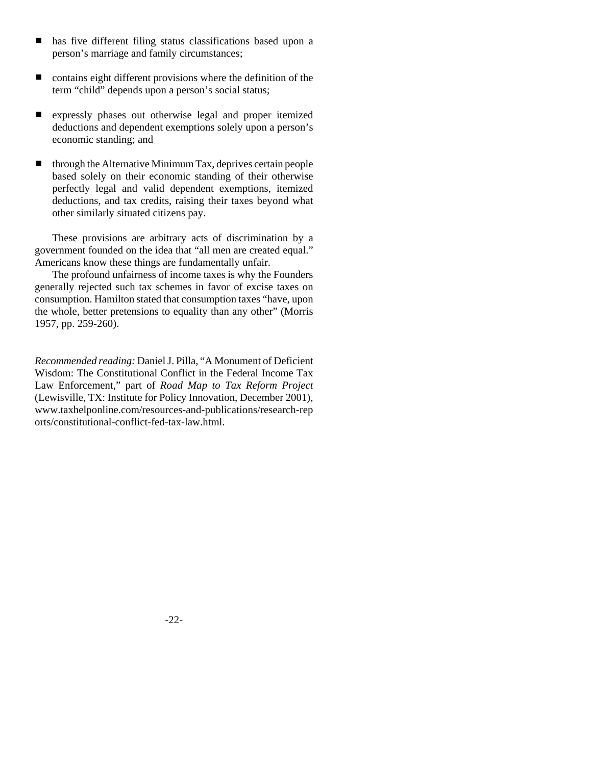- has five different filing status classifications based upon a person's marriage and family circumstances;
- $\Box$  contains eight different provisions where the definition of the term "child" depends upon a person's social status;
- $\blacksquare$  expressly phases out otherwise legal and proper itemized deductions and dependent exemptions solely upon a person's economic standing; and
- $\blacksquare$  through the Alternative Minimum Tax, deprives certain people based solely on their economic standing of their otherwise perfectly legal and valid dependent exemptions, itemized deductions, and tax credits, raising their taxes beyond what other similarly situated citizens pay.

These provisions are arbitrary acts of discrimination by a government founded on the idea that "all men are created equal." Americans know these things are fundamentally unfair.

The profound unfairness of income taxes is why the Founders generally rejected such tax schemes in favor of excise taxes on consumption. Hamilton stated that consumption taxes "have, upon the whole, better pretensions to equality than any other" (Morris 1957, pp. 259-260).

*Recommended reading:* Daniel J. Pilla, "A Monument of Deficient Wisdom: The Constitutional Conflict in the Federal Income Tax Law Enforcement," part of *Road Map to Tax Reform Project* (Lewisville, TX: Institute for Policy Innovation, December 2001), www.taxhelponline.com/resources-and-publications/research-rep orts/constitutional-conflict-fed-tax-law.html.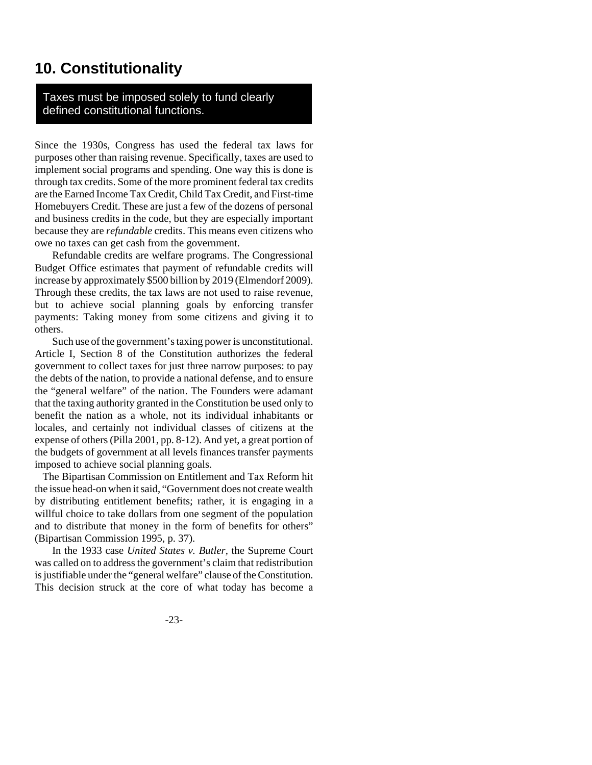#### **10. Constitutionality**

Taxes must be imposed solely to fund clearly defined constitutional functions.

Since the 1930s, Congress has used the federal tax laws for purposes other than raising revenue. Specifically, taxes are used to implement social programs and spending. One way this is done is through tax credits. Some of the more prominent federal tax credits are the Earned Income Tax Credit, Child Tax Credit, and First-time Homebuyers Credit. These are just a few of the dozens of personal and business credits in the code, but they are especially important because they are *refundable* credits. This means even citizens who owe no taxes can get cash from the government.

Refundable credits are welfare programs. The Congressional Budget Office estimates that payment of refundable credits will increase by approximately \$500 billion by 2019 (Elmendorf 2009). Through these credits, the tax laws are not used to raise revenue, but to achieve social planning goals by enforcing transfer payments: Taking money from some citizens and giving it to others.

Such use of the government's taxing power is unconstitutional. Article I, Section 8 of the Constitution authorizes the federal government to collect taxes for just three narrow purposes: to pay the debts of the nation, to provide a national defense, and to ensure the "general welfare" of the nation. The Founders were adamant that the taxing authority granted in the Constitution be used only to benefit the nation as a whole, not its individual inhabitants or locales, and certainly not individual classes of citizens at the expense of others (Pilla 2001, pp. 8-12). And yet, a great portion of the budgets of government at all levels finances transfer payments imposed to achieve social planning goals.

 The Bipartisan Commission on Entitlement and Tax Reform hit the issue head-on when it said, "Government does not create wealth by distributing entitlement benefits; rather, it is engaging in a willful choice to take dollars from one segment of the population and to distribute that money in the form of benefits for others" (Bipartisan Commission 1995, p. 37).

In the 1933 case *United States v. Butler,* the Supreme Court was called on to address the government's claim that redistribution is justifiable under the "general welfare" clause of the Constitution. This decision struck at the core of what today has become a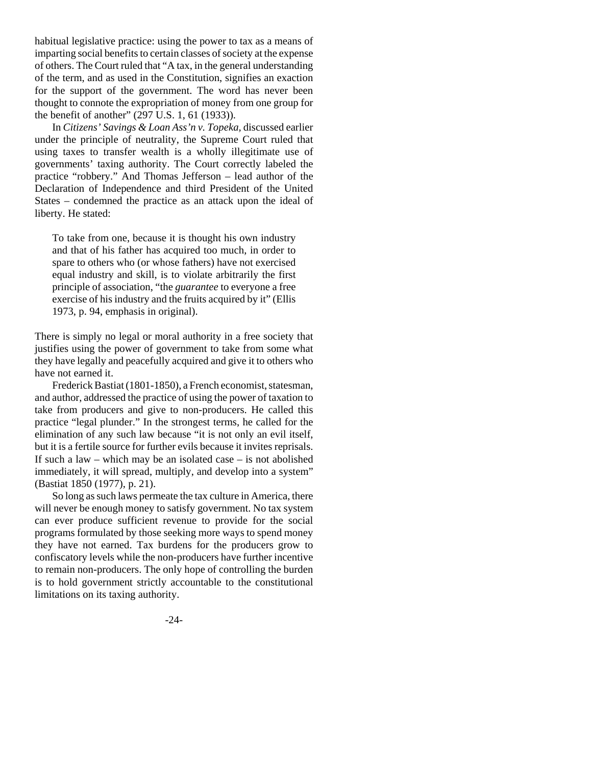habitual legislative practice: using the power to tax as a means of imparting social benefits to certain classes of society at the expense of others. The Court ruled that "A tax, in the general understanding of the term, and as used in the Constitution, signifies an exaction for the support of the government. The word has never been thought to connote the expropriation of money from one group for the benefit of another"  $(297 \text{ U.S. } 1, 61 (1933))$ .

In *Citizens' Savings & Loan Ass'n v. Topeka,* discussed earlier under the principle of neutrality, the Supreme Court ruled that using taxes to transfer wealth is a wholly illegitimate use of governments' taxing authority. The Court correctly labeled the practice "robbery." And Thomas Jefferson – lead author of the Declaration of Independence and third President of the United States – condemned the practice as an attack upon the ideal of liberty. He stated:

To take from one, because it is thought his own industry and that of his father has acquired too much, in order to spare to others who (or whose fathers) have not exercised equal industry and skill, is to violate arbitrarily the first principle of association, "the *guarantee* to everyone a free exercise of his industry and the fruits acquired by it" (Ellis 1973, p. 94, emphasis in original).

There is simply no legal or moral authority in a free society that justifies using the power of government to take from some what they have legally and peacefully acquired and give it to others who have not earned it.

Frederick Bastiat (1801-1850), a French economist, statesman, and author, addressed the practice of using the power of taxation to take from producers and give to non-producers. He called this practice "legal plunder." In the strongest terms, he called for the elimination of any such law because "it is not only an evil itself, but it is a fertile source for further evils because it invites reprisals. If such a law – which may be an isolated case – is not abolished immediately, it will spread, multiply, and develop into a system" (Bastiat 1850 (1977), p. 21).

So long as such laws permeate the tax culture in America, there will never be enough money to satisfy government. No tax system can ever produce sufficient revenue to provide for the social programs formulated by those seeking more ways to spend money they have not earned. Tax burdens for the producers grow to confiscatory levels while the non-producers have further incentive to remain non-producers. The only hope of controlling the burden is to hold government strictly accountable to the constitutional limitations on its taxing authority.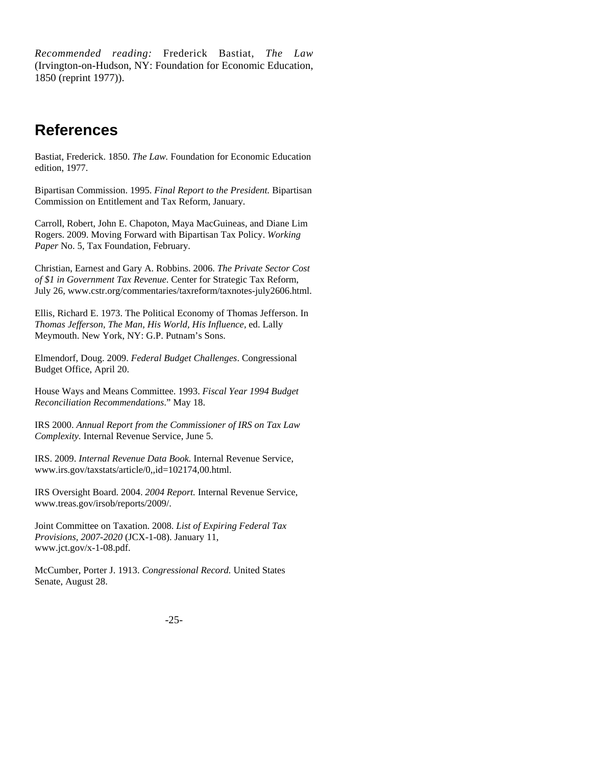*Recommended reading:* Frederick Bastiat, *The Law* (Irvington-on-Hudson, NY: Foundation for Economic Education, 1850 (reprint 1977)).

#### **References**

Bastiat, Frederick. 1850. *The Law.* Foundation for Economic Education edition, 1977.

Bipartisan Commission. 1995. *Final Report to the President.* Bipartisan Commission on Entitlement and Tax Reform, January.

Carroll, Robert, John E. Chapoton, Maya MacGuineas, and Diane Lim Rogers. 2009. Moving Forward with Bipartisan Tax Policy. *Working Paper* No. 5, Tax Foundation, February.

Christian, Earnest and Gary A. Robbins. 2006. *The Private Sector Cost of \$1 in Government Tax Revenue*. Center for Strategic Tax Reform, July 26, www.cstr.org/commentaries/taxreform/taxnotes-july2606.html.

Ellis, Richard E. 1973. The Political Economy of Thomas Jefferson. In *Thomas Jefferson, The Man, His World, His Influence,* ed. Lally Meymouth. New York, NY: G.P. Putnam's Sons.

Elmendorf, Doug. 2009. *Federal Budget Challenges*. Congressional Budget Office, April 20.

House Ways and Means Committee. 1993. *Fiscal Year 1994 Budget Reconciliation Recommendations*." May 18.

IRS 2000. *Annual Report from the Commissioner of IRS on Tax Law Complexity.* Internal Revenue Service, June 5.

IRS. 2009. *Internal Revenue Data Book.* Internal Revenue Service, www.irs.gov/taxstats/article/0,,id=102174,00.html.

IRS Oversight Board. 2004. *2004 Report.* Internal Revenue Service, www.treas.gov/irsob/reports/2009/.

Joint Committee on Taxation. 2008. *List of Expiring Federal Tax Provisions, 2007-2020* (JCX-1-08). January 11, www.jct.gov/x-1-08.pdf.

McCumber, Porter J. 1913. *Congressional Record.* United States Senate, August 28.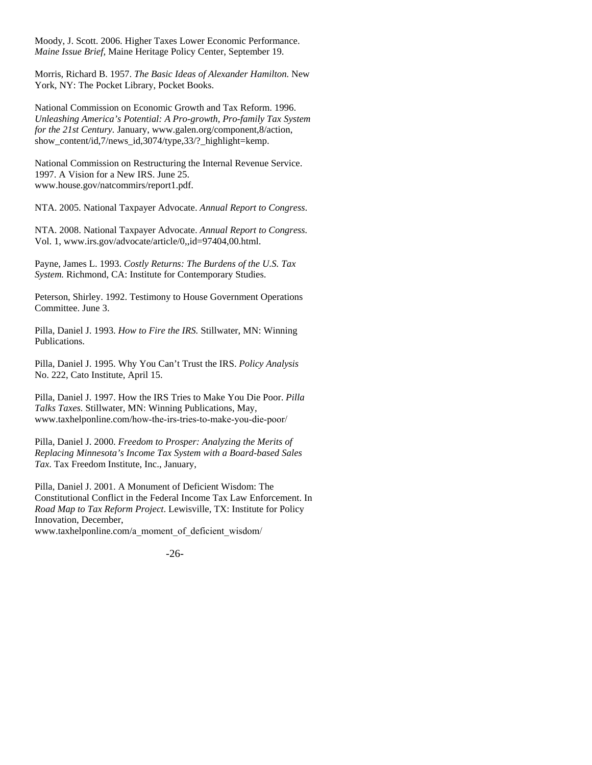Moody, J. Scott. 2006. Higher Taxes Lower Economic Performance. *Maine Issue Brief,* Maine Heritage Policy Center, September 19.

Morris, Richard B. 1957. *The Basic Ideas of Alexander Hamilton.* New York, NY: The Pocket Library, Pocket Books.

National Commission on Economic Growth and Tax Reform. 1996. *Unleashing America's Potential: A Pro-growth, Pro-family Tax System for the 21st Century.* January, www.galen.org/component,8/action, show\_content/id,7/news\_id,3074/type,33/?\_highlight=kemp.

National Commission on Restructuring the Internal Revenue Service. 1997. A Vision for a New IRS. June 25. www.house.gov/natcommirs/report1.pdf.

NTA. 2005. National Taxpayer Advocate. *Annual Report to Congress*.

NTA. 2008. National Taxpayer Advocate. *Annual Report to Congress.* Vol. 1, www.irs.gov/advocate/article/0,,id=97404,00.html.

Payne, James L. 1993. *Costly Returns: The Burdens of the U.S. Tax System.* Richmond, CA: Institute for Contemporary Studies.

Peterson, Shirley. 1992. Testimony to House Government Operations Committee. June 3.

Pilla, Daniel J. 1993. *How to Fire the IRS.* Stillwater, MN: Winning Publications.

Pilla, Daniel J. 1995. Why You Can't Trust the IRS. *Policy Analysis* No. 222, Cato Institute, April 15.

Pilla, Daniel J. 1997. How the IRS Tries to Make You Die Poor. *Pilla Talks Taxes.* Stillwater, MN: Winning Publications, May, www.taxhelponline.com/how-the-irs-tries-to-make-you-die-poor/

Pilla, Daniel J. 2000. *Freedom to Prosper: Analyzing the Merits of Replacing Minnesota's Income Tax System with a Board-based Sales Tax*. Tax Freedom Institute, Inc., January,

Pilla, Daniel J. 2001. A Monument of Deficient Wisdom: The Constitutional Conflict in the Federal Income Tax Law Enforcement. In *Road Map to Tax Reform Project*. Lewisville, TX: Institute for Policy Innovation, December,

www.taxhelponline.com/a\_moment\_of\_deficient\_wisdom/

-26-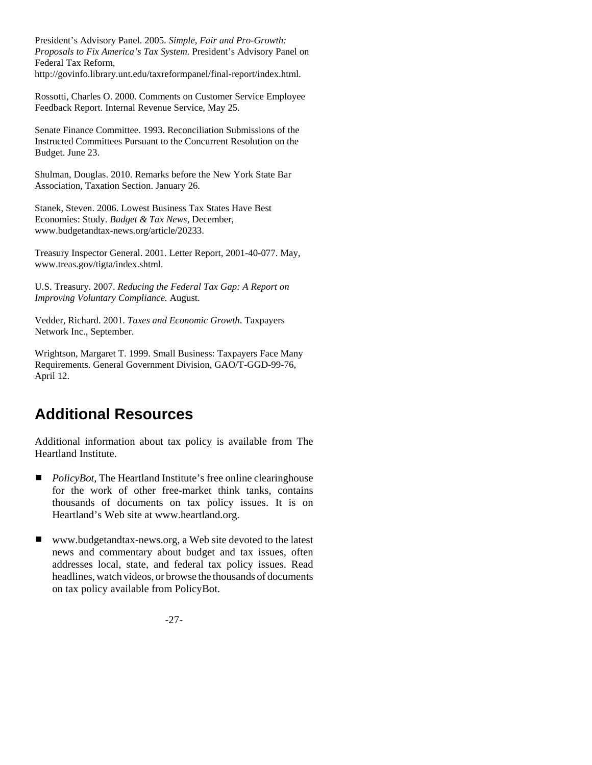President's Advisory Panel. 2005. *Simple, Fair and Pro-Growth: Proposals to Fix America's Tax System.* President's Advisory Panel on Federal Tax Reform, http://govinfo.library.unt.edu/taxreformpanel/final-report/index.html.

Rossotti, Charles O. 2000. Comments on Customer Service Employee Feedback Report. Internal Revenue Service, May 25.

Senate Finance Committee. 1993. Reconciliation Submissions of the Instructed Committees Pursuant to the Concurrent Resolution on the Budget. June 23.

Shulman, Douglas. 2010. Remarks before the New York State Bar Association, Taxation Section. January 26.

Stanek, Steven. 2006. Lowest Business Tax States Have Best Economies: Study. *Budget & Tax News,* December, www.budgetandtax-news.org/article/20233.

Treasury Inspector General. 2001. Letter Report, 2001-40-077. May, www.treas.gov/tigta/index.shtml.

U.S. Treasury. 2007. *Reducing the Federal Tax Gap: A Report on Improving Voluntary Compliance.* August.

Vedder, Richard. 2001. *Taxes and Economic Growth*. Taxpayers Network Inc., September.

Wrightson, Margaret T. 1999. Small Business: Taxpayers Face Many Requirements. General Government Division, GAO/T-GGD-99-76, April 12.

#### **Additional Resources**

Additional information about tax policy is available from The Heartland Institute.

- *PolicyBot*, The Heartland Institute's free online clearinghouse for the work of other free-market think tanks, contains thousands of documents on tax policy issues. It is on Heartland's Web site at www.heartland.org.
- www.budgetandtax-news.org, a Web site devoted to the latest news and commentary about budget and tax issues, often addresses local, state, and federal tax policy issues. Read headlines, watch videos, or browse the thousands of documents on tax policy available from PolicyBot.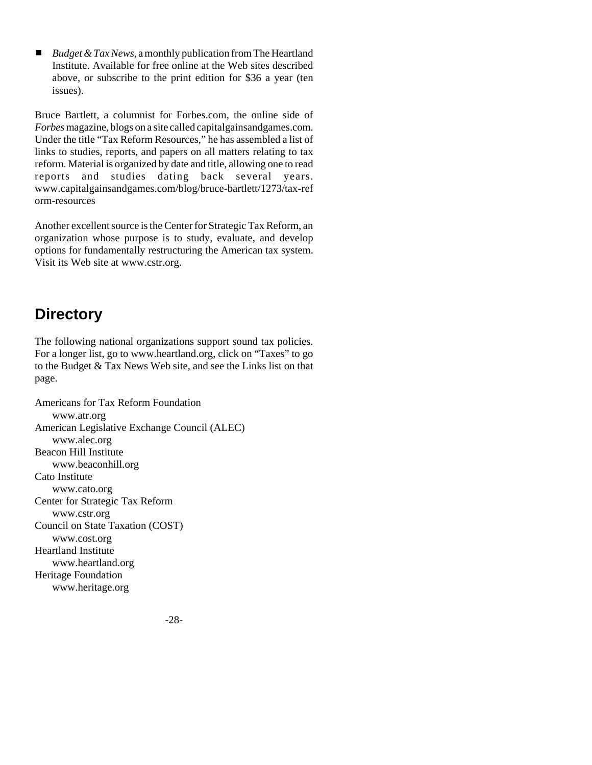■ *Budget & Tax News,* a monthly publication from The Heartland Institute. Available for free online at the Web sites described above, or subscribe to the print edition for \$36 a year (ten issues).

Bruce Bartlett, a columnist for Forbes.com, the online side of *Forbes* magazine, blogs on a site called capitalgainsandgames.com. Under the title "Tax Reform Resources," he has assembled a list of links to studies, reports, and papers on all matters relating to tax reform. Material is organized by date and title, allowing one to read reports and studies dating back several years. www.capitalgainsandgames.com/blog/bruce-bartlett/1273/tax-ref orm-resources

Another excellent source is the Center for Strategic Tax Reform, an organization whose purpose is to study, evaluate, and develop options for fundamentally restructuring the American tax system. Visit its Web site at www.cstr.org.

## **Directory**

The following national organizations support sound tax policies. For a longer list, go to www.heartland.org, click on "Taxes" to go to the Budget & Tax News Web site, and see the Links list on that page.

Americans for Tax Reform Foundation www.atr.org American Legislative Exchange Council (ALEC) www.alec.org Beacon Hill Institute www.beaconhill.org Cato Institute www.cato.org Center for Strategic Tax Reform www.cstr.org Council on State Taxation (COST) www.cost.org Heartland Institute www.heartland.org Heritage Foundation www.heritage.org